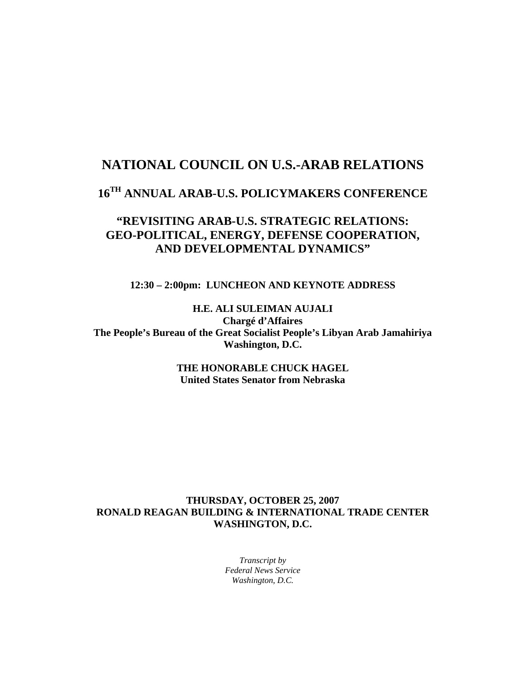## **NATIONAL COUNCIL ON U.S.-ARAB RELATIONS**

# **16TH ANNUAL ARAB-U.S. POLICYMAKERS CONFERENCE**

## **"REVISITING ARAB-U.S. STRATEGIC RELATIONS: GEO-POLITICAL, ENERGY, DEFENSE COOPERATION, AND DEVELOPMENTAL DYNAMICS"**

**12:30 – 2:00pm: LUNCHEON AND KEYNOTE ADDRESS** 

**H.E. ALI SULEIMAN AUJALI Chargé d'Affaires The People's Bureau of the Great Socialist People's Libyan Arab Jamahiriya Washington, D.C.** 

> **THE HONORABLE CHUCK HAGEL United States Senator from Nebraska**

## **THURSDAY, OCTOBER 25, 2007 RONALD REAGAN BUILDING & INTERNATIONAL TRADE CENTER WASHINGTON, D.C.**

*Transcript by Federal News Service Washington, D.C.*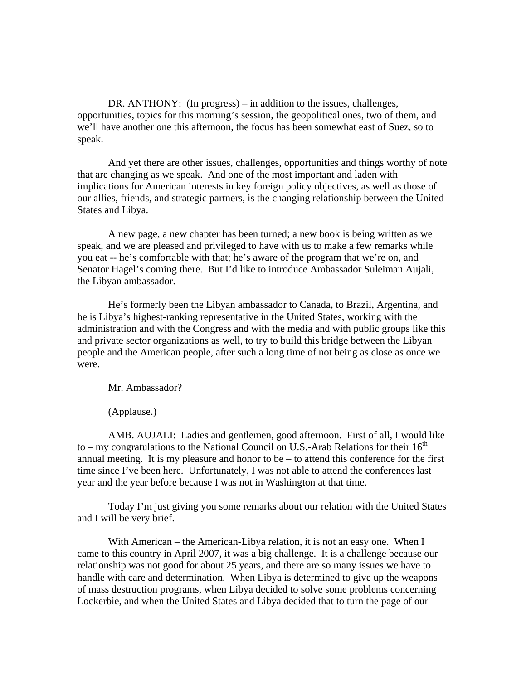DR. ANTHONY: (In progress) – in addition to the issues, challenges, opportunities, topics for this morning's session, the geopolitical ones, two of them, and we'll have another one this afternoon, the focus has been somewhat east of Suez, so to speak.

And yet there are other issues, challenges, opportunities and things worthy of note that are changing as we speak. And one of the most important and laden with implications for American interests in key foreign policy objectives, as well as those of our allies, friends, and strategic partners, is the changing relationship between the United States and Libya.

A new page, a new chapter has been turned; a new book is being written as we speak, and we are pleased and privileged to have with us to make a few remarks while you eat -- he's comfortable with that; he's aware of the program that we're on, and Senator Hagel's coming there. But I'd like to introduce Ambassador Suleiman Aujali, the Libyan ambassador.

He's formerly been the Libyan ambassador to Canada, to Brazil, Argentina, and he is Libya's highest-ranking representative in the United States, working with the administration and with the Congress and with the media and with public groups like this and private sector organizations as well, to try to build this bridge between the Libyan people and the American people, after such a long time of not being as close as once we were.

Mr. Ambassador?

(Applause.)

AMB. AUJALI: Ladies and gentlemen, good afternoon. First of all, I would like to – my congratulations to the National Council on U.S.-Arab Relations for their  $16<sup>th</sup>$ annual meeting. It is my pleasure and honor to be – to attend this conference for the first time since I've been here. Unfortunately, I was not able to attend the conferences last year and the year before because I was not in Washington at that time.

Today I'm just giving you some remarks about our relation with the United States and I will be very brief.

With American – the American-Libya relation, it is not an easy one. When I came to this country in April 2007, it was a big challenge. It is a challenge because our relationship was not good for about 25 years, and there are so many issues we have to handle with care and determination. When Libya is determined to give up the weapons of mass destruction programs, when Libya decided to solve some problems concerning Lockerbie, and when the United States and Libya decided that to turn the page of our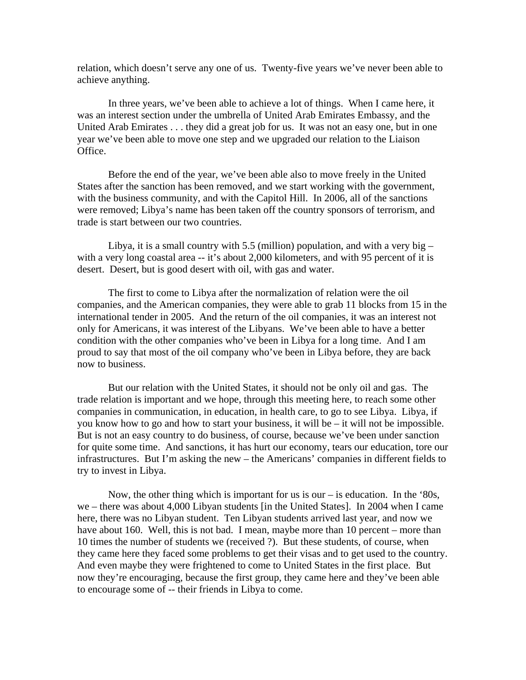relation, which doesn't serve any one of us. Twenty-five years we've never been able to achieve anything.

In three years, we've been able to achieve a lot of things. When I came here, it was an interest section under the umbrella of United Arab Emirates Embassy, and the United Arab Emirates . . . they did a great job for us. It was not an easy one, but in one year we've been able to move one step and we upgraded our relation to the Liaison Office.

Before the end of the year, we've been able also to move freely in the United States after the sanction has been removed, and we start working with the government, with the business community, and with the Capitol Hill. In 2006, all of the sanctions were removed; Libya's name has been taken off the country sponsors of terrorism, and trade is start between our two countries.

Libya, it is a small country with 5.5 (million) population, and with a very big  $$ with a very long coastal area -- it's about 2,000 kilometers, and with 95 percent of it is desert. Desert, but is good desert with oil, with gas and water.

The first to come to Libya after the normalization of relation were the oil companies, and the American companies, they were able to grab 11 blocks from 15 in the international tender in 2005. And the return of the oil companies, it was an interest not only for Americans, it was interest of the Libyans. We've been able to have a better condition with the other companies who've been in Libya for a long time. And I am proud to say that most of the oil company who've been in Libya before, they are back now to business.

But our relation with the United States, it should not be only oil and gas. The trade relation is important and we hope, through this meeting here, to reach some other companies in communication, in education, in health care, to go to see Libya. Libya, if you know how to go and how to start your business, it will be – it will not be impossible. But is not an easy country to do business, of course, because we've been under sanction for quite some time. And sanctions, it has hurt our economy, tears our education, tore our infrastructures. But I'm asking the new – the Americans' companies in different fields to try to invest in Libya.

Now, the other thing which is important for us is our  $-$  is education. In the '80s, we – there was about 4,000 Libyan students [in the United States]. In 2004 when I came here, there was no Libyan student. Ten Libyan students arrived last year, and now we have about 160. Well, this is not bad. I mean, maybe more than 10 percent – more than 10 times the number of students we (received ?). But these students, of course, when they came here they faced some problems to get their visas and to get used to the country. And even maybe they were frightened to come to United States in the first place. But now they're encouraging, because the first group, they came here and they've been able to encourage some of -- their friends in Libya to come.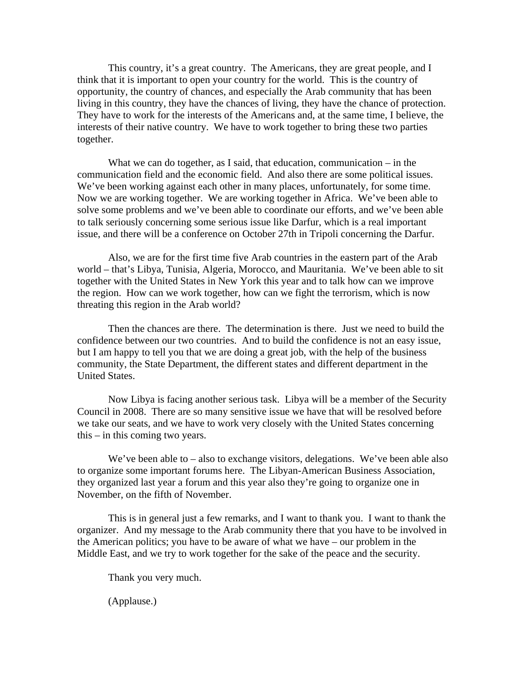This country, it's a great country. The Americans, they are great people, and I think that it is important to open your country for the world. This is the country of opportunity, the country of chances, and especially the Arab community that has been living in this country, they have the chances of living, they have the chance of protection. They have to work for the interests of the Americans and, at the same time, I believe, the interests of their native country. We have to work together to bring these two parties together.

What we can do together, as I said, that education, communication – in the communication field and the economic field. And also there are some political issues. We've been working against each other in many places, unfortunately, for some time. Now we are working together. We are working together in Africa. We've been able to solve some problems and we've been able to coordinate our efforts, and we've been able to talk seriously concerning some serious issue like Darfur, which is a real important issue, and there will be a conference on October 27th in Tripoli concerning the Darfur.

Also, we are for the first time five Arab countries in the eastern part of the Arab world – that's Libya, Tunisia, Algeria, Morocco, and Mauritania. We've been able to sit together with the United States in New York this year and to talk how can we improve the region. How can we work together, how can we fight the terrorism, which is now threating this region in the Arab world?

Then the chances are there. The determination is there. Just we need to build the confidence between our two countries. And to build the confidence is not an easy issue, but I am happy to tell you that we are doing a great job, with the help of the business community, the State Department, the different states and different department in the United States.

Now Libya is facing another serious task. Libya will be a member of the Security Council in 2008. There are so many sensitive issue we have that will be resolved before we take our seats, and we have to work very closely with the United States concerning this – in this coming two years.

We've been able to – also to exchange visitors, delegations. We've been able also to organize some important forums here. The Libyan-American Business Association, they organized last year a forum and this year also they're going to organize one in November, on the fifth of November.

This is in general just a few remarks, and I want to thank you. I want to thank the organizer. And my message to the Arab community there that you have to be involved in the American politics; you have to be aware of what we have – our problem in the Middle East, and we try to work together for the sake of the peace and the security.

Thank you very much.

(Applause.)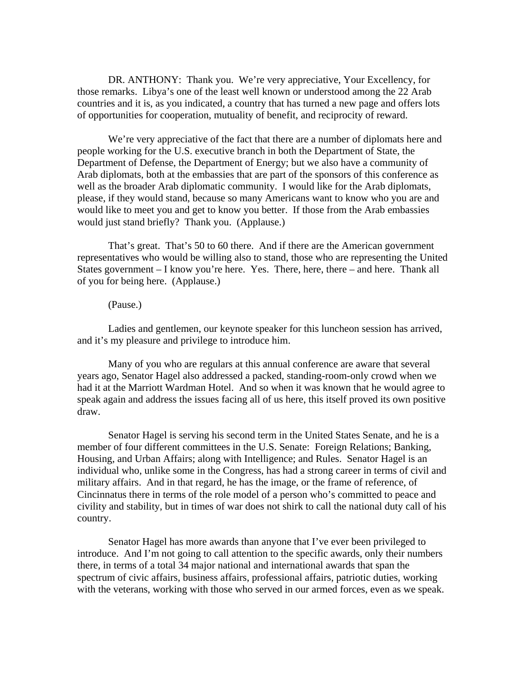DR. ANTHONY: Thank you. We're very appreciative, Your Excellency, for those remarks. Libya's one of the least well known or understood among the 22 Arab countries and it is, as you indicated, a country that has turned a new page and offers lots of opportunities for cooperation, mutuality of benefit, and reciprocity of reward.

We're very appreciative of the fact that there are a number of diplomats here and people working for the U.S. executive branch in both the Department of State, the Department of Defense, the Department of Energy; but we also have a community of Arab diplomats, both at the embassies that are part of the sponsors of this conference as well as the broader Arab diplomatic community. I would like for the Arab diplomats, please, if they would stand, because so many Americans want to know who you are and would like to meet you and get to know you better. If those from the Arab embassies would just stand briefly? Thank you. (Applause.)

That's great. That's 50 to 60 there. And if there are the American government representatives who would be willing also to stand, those who are representing the United States government – I know you're here. Yes. There, here, there – and here. Thank all of you for being here. (Applause.)

### (Pause.)

Ladies and gentlemen, our keynote speaker for this luncheon session has arrived, and it's my pleasure and privilege to introduce him.

Many of you who are regulars at this annual conference are aware that several years ago, Senator Hagel also addressed a packed, standing-room-only crowd when we had it at the Marriott Wardman Hotel. And so when it was known that he would agree to speak again and address the issues facing all of us here, this itself proved its own positive draw.

Senator Hagel is serving his second term in the United States Senate, and he is a member of four different committees in the U.S. Senate: Foreign Relations; Banking, Housing, and Urban Affairs; along with Intelligence; and Rules. Senator Hagel is an individual who, unlike some in the Congress, has had a strong career in terms of civil and military affairs. And in that regard, he has the image, or the frame of reference, of Cincinnatus there in terms of the role model of a person who's committed to peace and civility and stability, but in times of war does not shirk to call the national duty call of his country.

Senator Hagel has more awards than anyone that I've ever been privileged to introduce. And I'm not going to call attention to the specific awards, only their numbers there, in terms of a total 34 major national and international awards that span the spectrum of civic affairs, business affairs, professional affairs, patriotic duties, working with the veterans, working with those who served in our armed forces, even as we speak.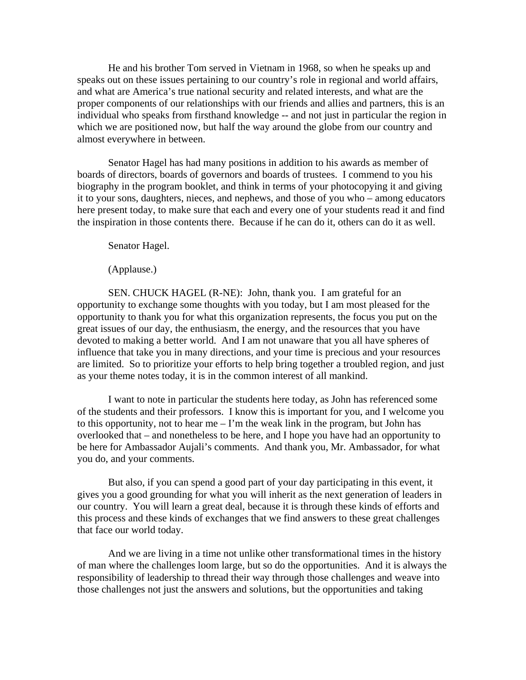He and his brother Tom served in Vietnam in 1968, so when he speaks up and speaks out on these issues pertaining to our country's role in regional and world affairs, and what are America's true national security and related interests, and what are the proper components of our relationships with our friends and allies and partners, this is an individual who speaks from firsthand knowledge -- and not just in particular the region in which we are positioned now, but half the way around the globe from our country and almost everywhere in between.

Senator Hagel has had many positions in addition to his awards as member of boards of directors, boards of governors and boards of trustees. I commend to you his biography in the program booklet, and think in terms of your photocopying it and giving it to your sons, daughters, nieces, and nephews, and those of you who – among educators here present today, to make sure that each and every one of your students read it and find the inspiration in those contents there. Because if he can do it, others can do it as well.

Senator Hagel.

(Applause.)

SEN. CHUCK HAGEL (R-NE): John, thank you. I am grateful for an opportunity to exchange some thoughts with you today, but I am most pleased for the opportunity to thank you for what this organization represents, the focus you put on the great issues of our day, the enthusiasm, the energy, and the resources that you have devoted to making a better world. And I am not unaware that you all have spheres of influence that take you in many directions, and your time is precious and your resources are limited. So to prioritize your efforts to help bring together a troubled region, and just as your theme notes today, it is in the common interest of all mankind.

I want to note in particular the students here today, as John has referenced some of the students and their professors. I know this is important for you, and I welcome you to this opportunity, not to hear me  $-1$ 'm the weak link in the program, but John has overlooked that – and nonetheless to be here, and I hope you have had an opportunity to be here for Ambassador Aujali's comments. And thank you, Mr. Ambassador, for what you do, and your comments.

But also, if you can spend a good part of your day participating in this event, it gives you a good grounding for what you will inherit as the next generation of leaders in our country. You will learn a great deal, because it is through these kinds of efforts and this process and these kinds of exchanges that we find answers to these great challenges that face our world today.

And we are living in a time not unlike other transformational times in the history of man where the challenges loom large, but so do the opportunities. And it is always the responsibility of leadership to thread their way through those challenges and weave into those challenges not just the answers and solutions, but the opportunities and taking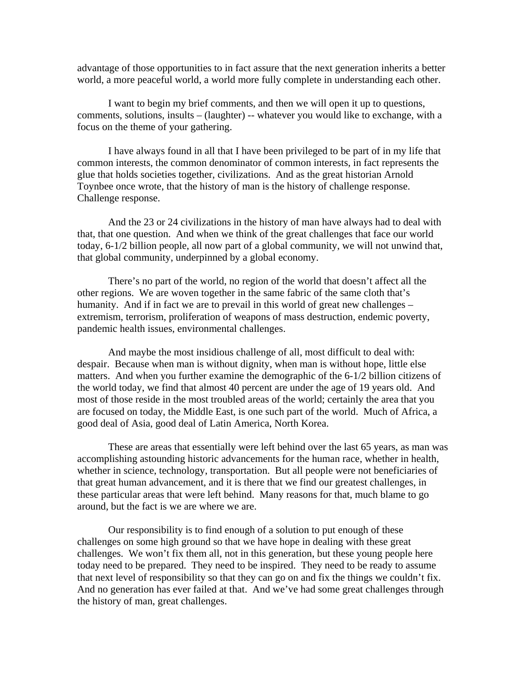advantage of those opportunities to in fact assure that the next generation inherits a better world, a more peaceful world, a world more fully complete in understanding each other.

I want to begin my brief comments, and then we will open it up to questions, comments, solutions, insults – (laughter) -- whatever you would like to exchange, with a focus on the theme of your gathering.

I have always found in all that I have been privileged to be part of in my life that common interests, the common denominator of common interests, in fact represents the glue that holds societies together, civilizations. And as the great historian Arnold Toynbee once wrote, that the history of man is the history of challenge response. Challenge response.

And the 23 or 24 civilizations in the history of man have always had to deal with that, that one question. And when we think of the great challenges that face our world today, 6-1/2 billion people, all now part of a global community, we will not unwind that, that global community, underpinned by a global economy.

There's no part of the world, no region of the world that doesn't affect all the other regions. We are woven together in the same fabric of the same cloth that's humanity. And if in fact we are to prevail in this world of great new challenges – extremism, terrorism, proliferation of weapons of mass destruction, endemic poverty, pandemic health issues, environmental challenges.

And maybe the most insidious challenge of all, most difficult to deal with: despair. Because when man is without dignity, when man is without hope, little else matters. And when you further examine the demographic of the 6-1/2 billion citizens of the world today, we find that almost 40 percent are under the age of 19 years old. And most of those reside in the most troubled areas of the world; certainly the area that you are focused on today, the Middle East, is one such part of the world. Much of Africa, a good deal of Asia, good deal of Latin America, North Korea.

These are areas that essentially were left behind over the last 65 years, as man was accomplishing astounding historic advancements for the human race, whether in health, whether in science, technology, transportation. But all people were not beneficiaries of that great human advancement, and it is there that we find our greatest challenges, in these particular areas that were left behind. Many reasons for that, much blame to go around, but the fact is we are where we are.

Our responsibility is to find enough of a solution to put enough of these challenges on some high ground so that we have hope in dealing with these great challenges. We won't fix them all, not in this generation, but these young people here today need to be prepared. They need to be inspired. They need to be ready to assume that next level of responsibility so that they can go on and fix the things we couldn't fix. And no generation has ever failed at that. And we've had some great challenges through the history of man, great challenges.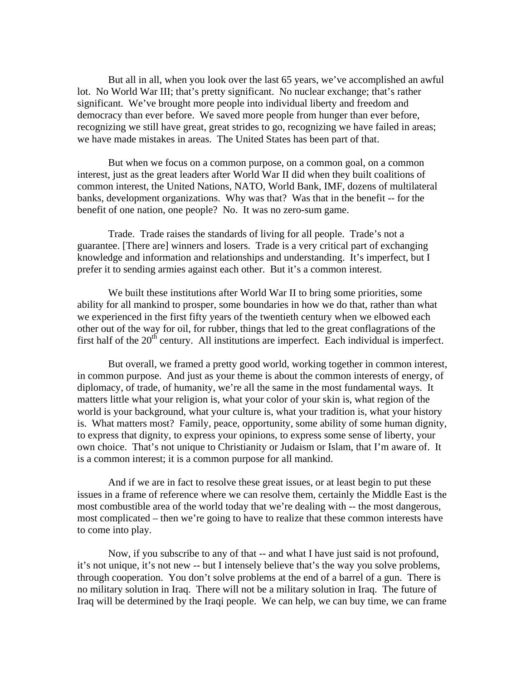But all in all, when you look over the last 65 years, we've accomplished an awful lot. No World War III; that's pretty significant. No nuclear exchange; that's rather significant. We've brought more people into individual liberty and freedom and democracy than ever before. We saved more people from hunger than ever before, recognizing we still have great, great strides to go, recognizing we have failed in areas; we have made mistakes in areas. The United States has been part of that.

But when we focus on a common purpose, on a common goal, on a common interest, just as the great leaders after World War II did when they built coalitions of common interest, the United Nations, NATO, World Bank, IMF, dozens of multilateral banks, development organizations. Why was that? Was that in the benefit -- for the benefit of one nation, one people? No. It was no zero-sum game.

Trade. Trade raises the standards of living for all people. Trade's not a guarantee. [There are] winners and losers. Trade is a very critical part of exchanging knowledge and information and relationships and understanding. It's imperfect, but I prefer it to sending armies against each other. But it's a common interest.

We built these institutions after World War II to bring some priorities, some ability for all mankind to prosper, some boundaries in how we do that, rather than what we experienced in the first fifty years of the twentieth century when we elbowed each other out of the way for oil, for rubber, things that led to the great conflagrations of the first half of the  $20<sup>th</sup>$  century. All institutions are imperfect. Each individual is imperfect.

But overall, we framed a pretty good world, working together in common interest, in common purpose. And just as your theme is about the common interests of energy, of diplomacy, of trade, of humanity, we're all the same in the most fundamental ways. It matters little what your religion is, what your color of your skin is, what region of the world is your background, what your culture is, what your tradition is, what your history is. What matters most? Family, peace, opportunity, some ability of some human dignity, to express that dignity, to express your opinions, to express some sense of liberty, your own choice. That's not unique to Christianity or Judaism or Islam, that I'm aware of. It is a common interest; it is a common purpose for all mankind.

And if we are in fact to resolve these great issues, or at least begin to put these issues in a frame of reference where we can resolve them, certainly the Middle East is the most combustible area of the world today that we're dealing with -- the most dangerous, most complicated – then we're going to have to realize that these common interests have to come into play.

Now, if you subscribe to any of that -- and what I have just said is not profound, it's not unique, it's not new -- but I intensely believe that's the way you solve problems, through cooperation. You don't solve problems at the end of a barrel of a gun. There is no military solution in Iraq. There will not be a military solution in Iraq. The future of Iraq will be determined by the Iraqi people. We can help, we can buy time, we can frame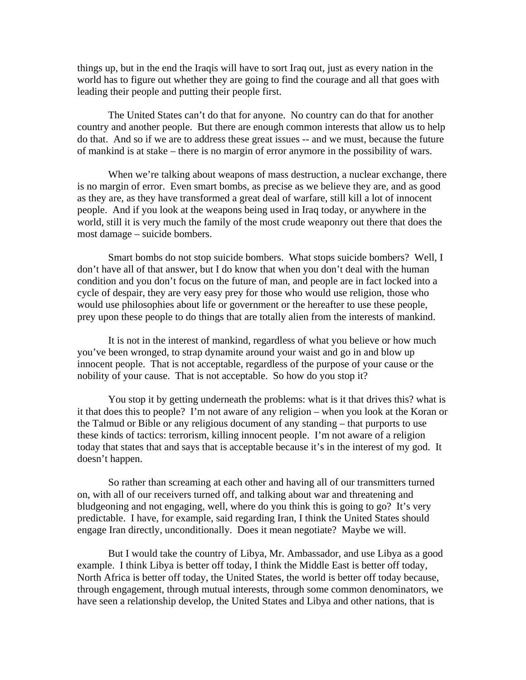things up, but in the end the Iraqis will have to sort Iraq out, just as every nation in the world has to figure out whether they are going to find the courage and all that goes with leading their people and putting their people first.

The United States can't do that for anyone. No country can do that for another country and another people. But there are enough common interests that allow us to help do that. And so if we are to address these great issues -- and we must, because the future of mankind is at stake – there is no margin of error anymore in the possibility of wars.

When we're talking about weapons of mass destruction, a nuclear exchange, there is no margin of error. Even smart bombs, as precise as we believe they are, and as good as they are, as they have transformed a great deal of warfare, still kill a lot of innocent people. And if you look at the weapons being used in Iraq today, or anywhere in the world, still it is very much the family of the most crude weaponry out there that does the most damage – suicide bombers.

Smart bombs do not stop suicide bombers. What stops suicide bombers? Well, I don't have all of that answer, but I do know that when you don't deal with the human condition and you don't focus on the future of man, and people are in fact locked into a cycle of despair, they are very easy prey for those who would use religion, those who would use philosophies about life or government or the hereafter to use these people, prey upon these people to do things that are totally alien from the interests of mankind.

It is not in the interest of mankind, regardless of what you believe or how much you've been wronged, to strap dynamite around your waist and go in and blow up innocent people. That is not acceptable, regardless of the purpose of your cause or the nobility of your cause. That is not acceptable. So how do you stop it?

You stop it by getting underneath the problems: what is it that drives this? what is it that does this to people? I'm not aware of any religion – when you look at the Koran or the Talmud or Bible or any religious document of any standing – that purports to use these kinds of tactics: terrorism, killing innocent people. I'm not aware of a religion today that states that and says that is acceptable because it's in the interest of my god. It doesn't happen.

So rather than screaming at each other and having all of our transmitters turned on, with all of our receivers turned off, and talking about war and threatening and bludgeoning and not engaging, well, where do you think this is going to go? It's very predictable. I have, for example, said regarding Iran, I think the United States should engage Iran directly, unconditionally. Does it mean negotiate? Maybe we will.

But I would take the country of Libya, Mr. Ambassador, and use Libya as a good example. I think Libya is better off today, I think the Middle East is better off today, North Africa is better off today, the United States, the world is better off today because, through engagement, through mutual interests, through some common denominators, we have seen a relationship develop, the United States and Libya and other nations, that is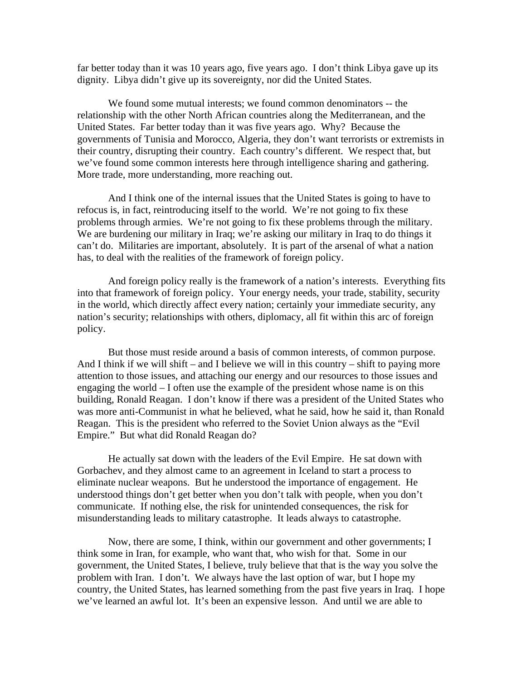far better today than it was 10 years ago, five years ago. I don't think Libya gave up its dignity. Libya didn't give up its sovereignty, nor did the United States.

We found some mutual interests; we found common denominators -- the relationship with the other North African countries along the Mediterranean, and the United States. Far better today than it was five years ago. Why? Because the governments of Tunisia and Morocco, Algeria, they don't want terrorists or extremists in their country, disrupting their country. Each country's different. We respect that, but we've found some common interests here through intelligence sharing and gathering. More trade, more understanding, more reaching out.

And I think one of the internal issues that the United States is going to have to refocus is, in fact, reintroducing itself to the world. We're not going to fix these problems through armies. We're not going to fix these problems through the military. We are burdening our military in Iraq; we're asking our military in Iraq to do things it can't do. Militaries are important, absolutely. It is part of the arsenal of what a nation has, to deal with the realities of the framework of foreign policy.

And foreign policy really is the framework of a nation's interests. Everything fits into that framework of foreign policy. Your energy needs, your trade, stability, security in the world, which directly affect every nation; certainly your immediate security, any nation's security; relationships with others, diplomacy, all fit within this arc of foreign policy.

But those must reside around a basis of common interests, of common purpose. And I think if we will shift – and I believe we will in this country – shift to paying more attention to those issues, and attaching our energy and our resources to those issues and engaging the world – I often use the example of the president whose name is on this building, Ronald Reagan. I don't know if there was a president of the United States who was more anti-Communist in what he believed, what he said, how he said it, than Ronald Reagan. This is the president who referred to the Soviet Union always as the "Evil Empire." But what did Ronald Reagan do?

He actually sat down with the leaders of the Evil Empire. He sat down with Gorbachev, and they almost came to an agreement in Iceland to start a process to eliminate nuclear weapons. But he understood the importance of engagement. He understood things don't get better when you don't talk with people, when you don't communicate. If nothing else, the risk for unintended consequences, the risk for misunderstanding leads to military catastrophe. It leads always to catastrophe.

Now, there are some, I think, within our government and other governments; I think some in Iran, for example, who want that, who wish for that. Some in our government, the United States, I believe, truly believe that that is the way you solve the problem with Iran. I don't. We always have the last option of war, but I hope my country, the United States, has learned something from the past five years in Iraq. I hope we've learned an awful lot. It's been an expensive lesson. And until we are able to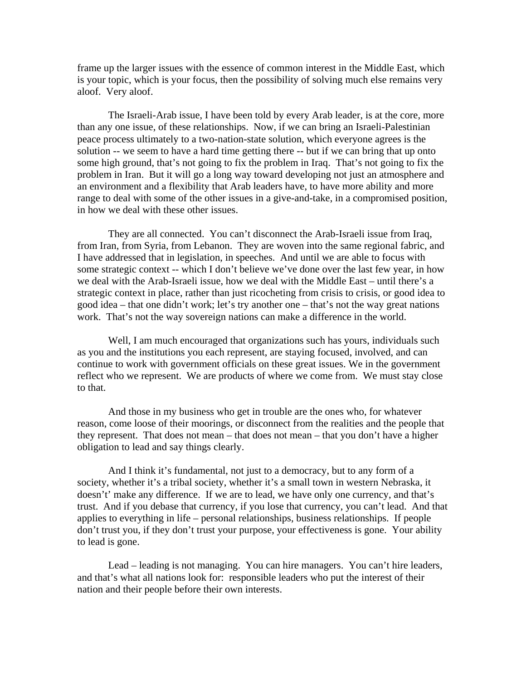frame up the larger issues with the essence of common interest in the Middle East, which is your topic, which is your focus, then the possibility of solving much else remains very aloof. Very aloof.

The Israeli-Arab issue, I have been told by every Arab leader, is at the core, more than any one issue, of these relationships. Now, if we can bring an Israeli-Palestinian peace process ultimately to a two-nation-state solution, which everyone agrees is the solution -- we seem to have a hard time getting there -- but if we can bring that up onto some high ground, that's not going to fix the problem in Iraq. That's not going to fix the problem in Iran. But it will go a long way toward developing not just an atmosphere and an environment and a flexibility that Arab leaders have, to have more ability and more range to deal with some of the other issues in a give-and-take, in a compromised position, in how we deal with these other issues.

They are all connected. You can't disconnect the Arab-Israeli issue from Iraq, from Iran, from Syria, from Lebanon. They are woven into the same regional fabric, and I have addressed that in legislation, in speeches. And until we are able to focus with some strategic context -- which I don't believe we've done over the last few year, in how we deal with the Arab-Israeli issue, how we deal with the Middle East – until there's a strategic context in place, rather than just ricocheting from crisis to crisis, or good idea to good idea – that one didn't work; let's try another one – that's not the way great nations work. That's not the way sovereign nations can make a difference in the world.

Well, I am much encouraged that organizations such has yours, individuals such as you and the institutions you each represent, are staying focused, involved, and can continue to work with government officials on these great issues. We in the government reflect who we represent. We are products of where we come from. We must stay close to that.

And those in my business who get in trouble are the ones who, for whatever reason, come loose of their moorings, or disconnect from the realities and the people that they represent. That does not mean – that does not mean – that you don't have a higher obligation to lead and say things clearly.

And I think it's fundamental, not just to a democracy, but to any form of a society, whether it's a tribal society, whether it's a small town in western Nebraska, it doesn't' make any difference. If we are to lead, we have only one currency, and that's trust. And if you debase that currency, if you lose that currency, you can't lead. And that applies to everything in life – personal relationships, business relationships. If people don't trust you, if they don't trust your purpose, your effectiveness is gone. Your ability to lead is gone.

Lead – leading is not managing. You can hire managers. You can't hire leaders, and that's what all nations look for: responsible leaders who put the interest of their nation and their people before their own interests.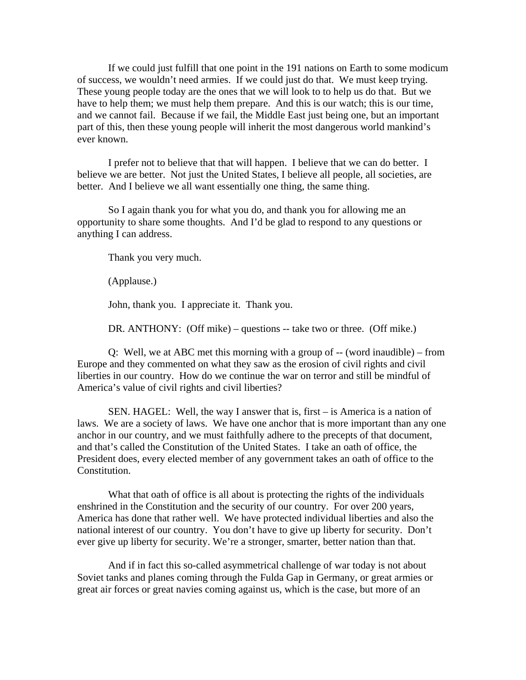If we could just fulfill that one point in the 191 nations on Earth to some modicum of success, we wouldn't need armies. If we could just do that. We must keep trying. These young people today are the ones that we will look to to help us do that. But we have to help them; we must help them prepare. And this is our watch; this is our time, and we cannot fail. Because if we fail, the Middle East just being one, but an important part of this, then these young people will inherit the most dangerous world mankind's ever known.

I prefer not to believe that that will happen. I believe that we can do better. I believe we are better. Not just the United States, I believe all people, all societies, are better. And I believe we all want essentially one thing, the same thing.

So I again thank you for what you do, and thank you for allowing me an opportunity to share some thoughts. And I'd be glad to respond to any questions or anything I can address.

Thank you very much.

(Applause.)

John, thank you. I appreciate it. Thank you.

DR. ANTHONY: (Off mike) – questions -- take two or three. (Off mike.)

Q: Well, we at ABC met this morning with a group of -- (word inaudible) – from Europe and they commented on what they saw as the erosion of civil rights and civil liberties in our country. How do we continue the war on terror and still be mindful of America's value of civil rights and civil liberties?

SEN. HAGEL: Well, the way I answer that is, first – is America is a nation of laws. We are a society of laws. We have one anchor that is more important than any one anchor in our country, and we must faithfully adhere to the precepts of that document, and that's called the Constitution of the United States. I take an oath of office, the President does, every elected member of any government takes an oath of office to the Constitution.

What that oath of office is all about is protecting the rights of the individuals enshrined in the Constitution and the security of our country. For over 200 years, America has done that rather well. We have protected individual liberties and also the national interest of our country. You don't have to give up liberty for security. Don't ever give up liberty for security. We're a stronger, smarter, better nation than that.

And if in fact this so-called asymmetrical challenge of war today is not about Soviet tanks and planes coming through the Fulda Gap in Germany, or great armies or great air forces or great navies coming against us, which is the case, but more of an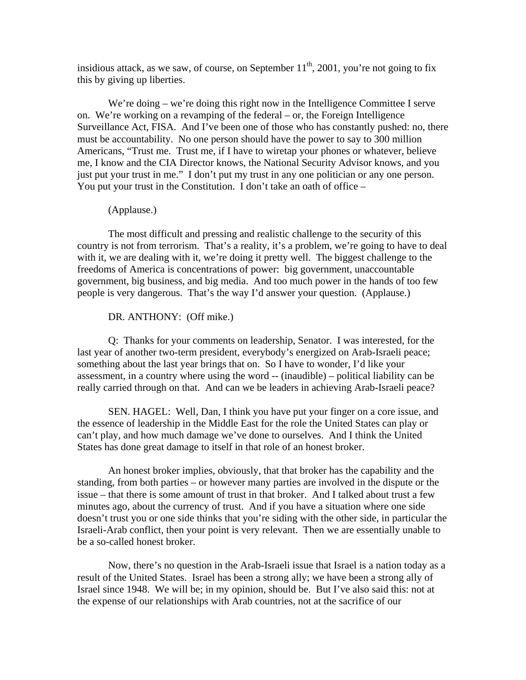insidious attack, as we saw, of course, on September  $11<sup>th</sup>$ , 2001, you're not going to fix this by giving up liberties.

We're doing – we're doing this right now in the Intelligence Committee I serve on. We're working on a revamping of the federal – or, the Foreign Intelligence Surveillance Act, FISA. And I've been one of those who has constantly pushed: no, there must be accountability. No one person should have the power to say to 300 million Americans, "Trust me. Trust me, if I have to wiretap your phones or whatever, believe me, I know and the CIA Director knows, the National Security Advisor knows, and you just put your trust in me." I don't put my trust in any one politician or any one person. You put your trust in the Constitution. I don't take an oath of office –

#### (Applause.)

The most difficult and pressing and realistic challenge to the security of this country is not from terrorism. That's a reality, it's a problem, we're going to have to deal with it, we are dealing with it, we're doing it pretty well. The biggest challenge to the freedoms of America is concentrations of power: big government, unaccountable government, big business, and big media. And too much power in the hands of too few people is very dangerous. That's the way I'd answer your question. (Applause.)

DR. ANTHONY: (Off mike.)

Q: Thanks for your comments on leadership, Senator. I was interested, for the last year of another two-term president, everybody's energized on Arab-Israeli peace; something about the last year brings that on. So I have to wonder, I'd like your assessment, in a country where using the word -- (inaudible) – political liability can be really carried through on that. And can we be leaders in achieving Arab-Israeli peace?

SEN. HAGEL: Well, Dan, I think you have put your finger on a core issue, and the essence of leadership in the Middle East for the role the United States can play or can't play, and how much damage we've done to ourselves. And I think the United States has done great damage to itself in that role of an honest broker.

An honest broker implies, obviously, that that broker has the capability and the standing, from both parties – or however many parties are involved in the dispute or the issue – that there is some amount of trust in that broker. And I talked about trust a few minutes ago, about the currency of trust. And if you have a situation where one side doesn't trust you or one side thinks that you're siding with the other side, in particular the Israeli-Arab conflict, then your point is very relevant. Then we are essentially unable to be a so-called honest broker.

Now, there's no question in the Arab-Israeli issue that Israel is a nation today as a result of the United States. Israel has been a strong ally; we have been a strong ally of Israel since 1948. We will be; in my opinion, should be. But I've also said this: not at the expense of our relationships with Arab countries, not at the sacrifice of our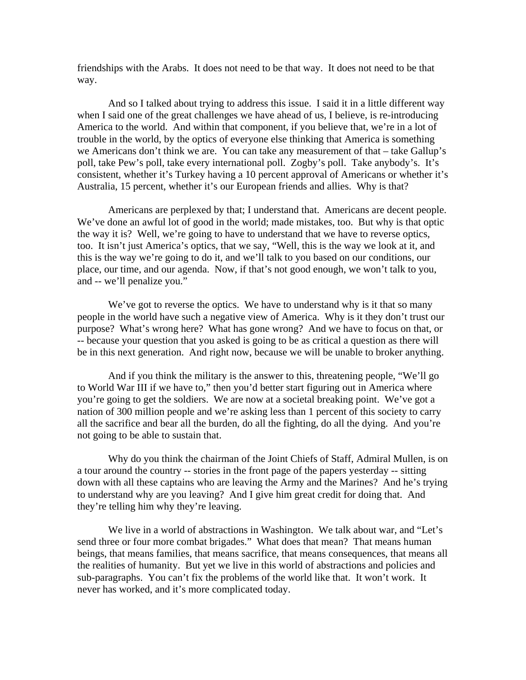friendships with the Arabs. It does not need to be that way. It does not need to be that way.

And so I talked about trying to address this issue. I said it in a little different way when I said one of the great challenges we have ahead of us, I believe, is re-introducing America to the world. And within that component, if you believe that, we're in a lot of trouble in the world, by the optics of everyone else thinking that America is something we Americans don't think we are. You can take any measurement of that – take Gallup's poll, take Pew's poll, take every international poll. Zogby's poll. Take anybody's. It's consistent, whether it's Turkey having a 10 percent approval of Americans or whether it's Australia, 15 percent, whether it's our European friends and allies. Why is that?

Americans are perplexed by that; I understand that. Americans are decent people. We've done an awful lot of good in the world; made mistakes, too. But why is that optic the way it is? Well, we're going to have to understand that we have to reverse optics, too. It isn't just America's optics, that we say, "Well, this is the way we look at it, and this is the way we're going to do it, and we'll talk to you based on our conditions, our place, our time, and our agenda. Now, if that's not good enough, we won't talk to you, and -- we'll penalize you."

We've got to reverse the optics. We have to understand why is it that so many people in the world have such a negative view of America. Why is it they don't trust our purpose? What's wrong here? What has gone wrong? And we have to focus on that, or -- because your question that you asked is going to be as critical a question as there will be in this next generation. And right now, because we will be unable to broker anything.

And if you think the military is the answer to this, threatening people, "We'll go to World War III if we have to," then you'd better start figuring out in America where you're going to get the soldiers. We are now at a societal breaking point. We've got a nation of 300 million people and we're asking less than 1 percent of this society to carry all the sacrifice and bear all the burden, do all the fighting, do all the dying. And you're not going to be able to sustain that.

Why do you think the chairman of the Joint Chiefs of Staff, Admiral Mullen, is on a tour around the country -- stories in the front page of the papers yesterday -- sitting down with all these captains who are leaving the Army and the Marines? And he's trying to understand why are you leaving? And I give him great credit for doing that. And they're telling him why they're leaving.

We live in a world of abstractions in Washington. We talk about war, and "Let's send three or four more combat brigades." What does that mean? That means human beings, that means families, that means sacrifice, that means consequences, that means all the realities of humanity. But yet we live in this world of abstractions and policies and sub-paragraphs. You can't fix the problems of the world like that. It won't work. It never has worked, and it's more complicated today.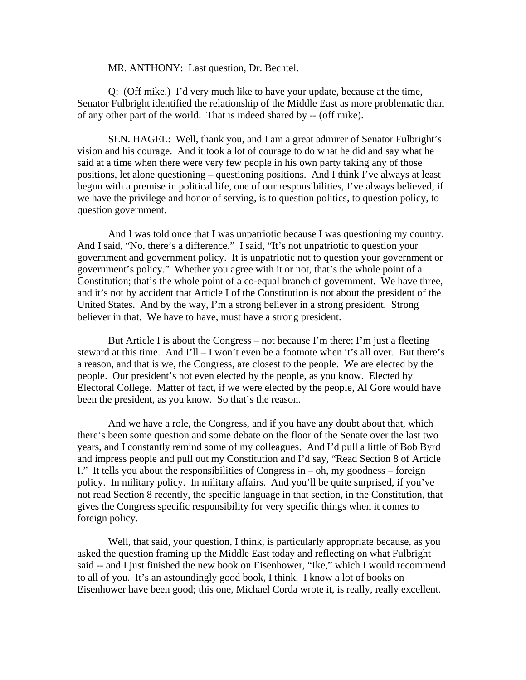### MR. ANTHONY: Last question, Dr. Bechtel.

Q: (Off mike.) I'd very much like to have your update, because at the time, Senator Fulbright identified the relationship of the Middle East as more problematic than of any other part of the world. That is indeed shared by -- (off mike).

SEN. HAGEL: Well, thank you, and I am a great admirer of Senator Fulbright's vision and his courage. And it took a lot of courage to do what he did and say what he said at a time when there were very few people in his own party taking any of those positions, let alone questioning – questioning positions. And I think I've always at least begun with a premise in political life, one of our responsibilities, I've always believed, if we have the privilege and honor of serving, is to question politics, to question policy, to question government.

And I was told once that I was unpatriotic because I was questioning my country. And I said, "No, there's a difference." I said, "It's not unpatriotic to question your government and government policy. It is unpatriotic not to question your government or government's policy." Whether you agree with it or not, that's the whole point of a Constitution; that's the whole point of a co-equal branch of government. We have three, and it's not by accident that Article I of the Constitution is not about the president of the United States. And by the way, I'm a strong believer in a strong president. Strong believer in that. We have to have, must have a strong president.

But Article I is about the Congress – not because I'm there; I'm just a fleeting steward at this time. And I'll – I won't even be a footnote when it's all over. But there's a reason, and that is we, the Congress, are closest to the people. We are elected by the people. Our president's not even elected by the people, as you know. Elected by Electoral College. Matter of fact, if we were elected by the people, Al Gore would have been the president, as you know. So that's the reason.

And we have a role, the Congress, and if you have any doubt about that, which there's been some question and some debate on the floor of the Senate over the last two years, and I constantly remind some of my colleagues. And I'd pull a little of Bob Byrd and impress people and pull out my Constitution and I'd say, "Read Section 8 of Article I." It tells you about the responsibilities of Congress in – oh, my goodness – foreign policy. In military policy. In military affairs. And you'll be quite surprised, if you've not read Section 8 recently, the specific language in that section, in the Constitution, that gives the Congress specific responsibility for very specific things when it comes to foreign policy.

Well, that said, your question, I think, is particularly appropriate because, as you asked the question framing up the Middle East today and reflecting on what Fulbright said -- and I just finished the new book on Eisenhower, "Ike," which I would recommend to all of you. It's an astoundingly good book, I think. I know a lot of books on Eisenhower have been good; this one, Michael Corda wrote it, is really, really excellent.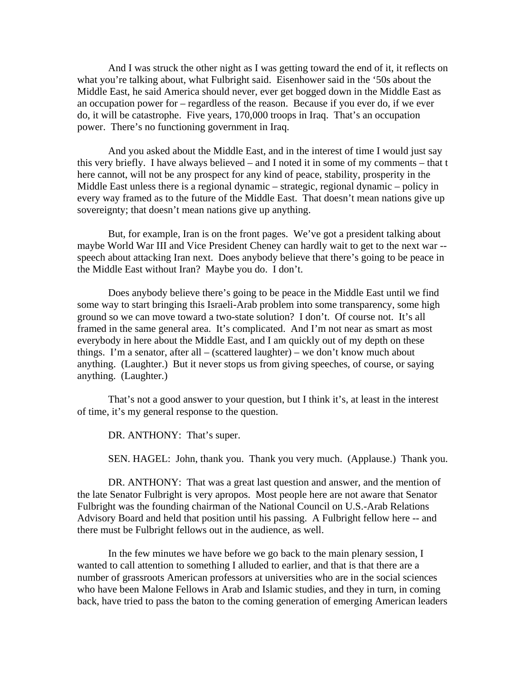And I was struck the other night as I was getting toward the end of it, it reflects on what you're talking about, what Fulbright said. Eisenhower said in the '50s about the Middle East, he said America should never, ever get bogged down in the Middle East as an occupation power for – regardless of the reason. Because if you ever do, if we ever do, it will be catastrophe. Five years, 170,000 troops in Iraq. That's an occupation power. There's no functioning government in Iraq.

And you asked about the Middle East, and in the interest of time I would just say this very briefly. I have always believed – and I noted it in some of my comments – that t here cannot, will not be any prospect for any kind of peace, stability, prosperity in the Middle East unless there is a regional dynamic – strategic, regional dynamic – policy in every way framed as to the future of the Middle East. That doesn't mean nations give up sovereignty; that doesn't mean nations give up anything.

But, for example, Iran is on the front pages. We've got a president talking about maybe World War III and Vice President Cheney can hardly wait to get to the next war - speech about attacking Iran next. Does anybody believe that there's going to be peace in the Middle East without Iran? Maybe you do. I don't.

Does anybody believe there's going to be peace in the Middle East until we find some way to start bringing this Israeli-Arab problem into some transparency, some high ground so we can move toward a two-state solution? I don't. Of course not. It's all framed in the same general area. It's complicated. And I'm not near as smart as most everybody in here about the Middle East, and I am quickly out of my depth on these things. I'm a senator, after all – (scattered laughter) – we don't know much about anything. (Laughter.) But it never stops us from giving speeches, of course, or saying anything. (Laughter.)

That's not a good answer to your question, but I think it's, at least in the interest of time, it's my general response to the question.

DR. ANTHONY: That's super.

SEN. HAGEL: John, thank you. Thank you very much. (Applause.) Thank you.

DR. ANTHONY: That was a great last question and answer, and the mention of the late Senator Fulbright is very apropos. Most people here are not aware that Senator Fulbright was the founding chairman of the National Council on U.S.-Arab Relations Advisory Board and held that position until his passing. A Fulbright fellow here -- and there must be Fulbright fellows out in the audience, as well.

In the few minutes we have before we go back to the main plenary session, I wanted to call attention to something I alluded to earlier, and that is that there are a number of grassroots American professors at universities who are in the social sciences who have been Malone Fellows in Arab and Islamic studies, and they in turn, in coming back, have tried to pass the baton to the coming generation of emerging American leaders